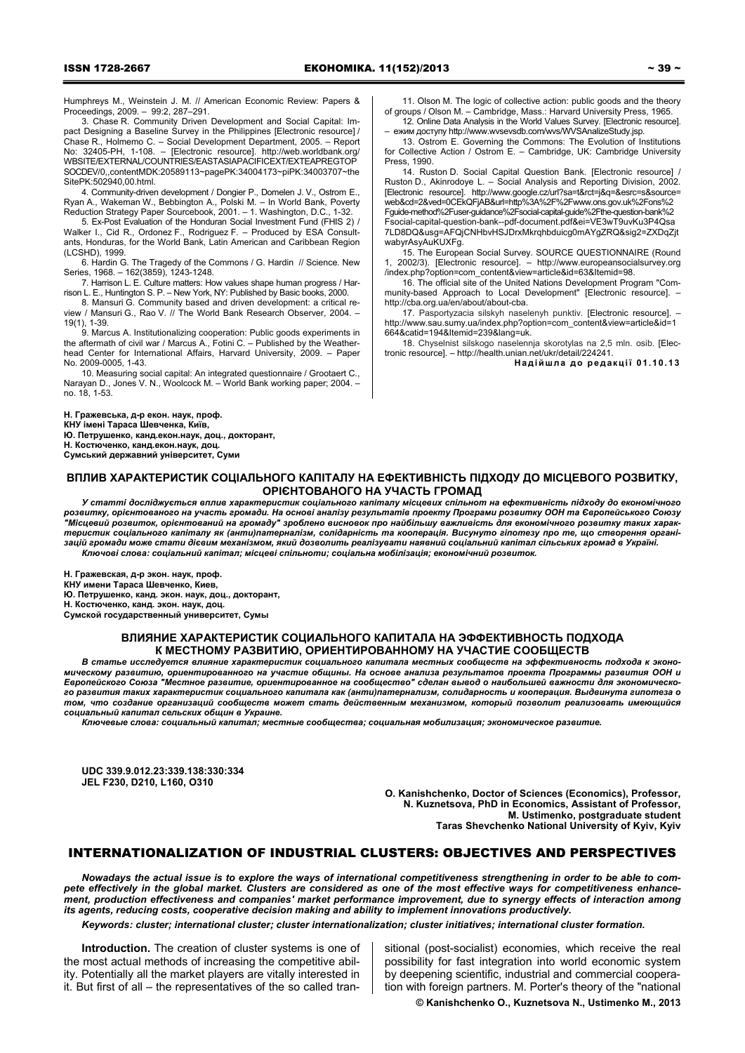3. Chase R. Community Driven Development and Social Capital: Impact Designing a Baseline Survey in the Philippines [Electronic resource] / Chase R., Holmemo C. – Social Development Department, 2005. – Report No: 32405-PH, 1-108. – [Electronic resource]. http://web.worldbank.org/ WBSITE/EXTERNAL/COUNTRIES/EASTASIAPACIFICEXT/EXTEAPREGTOP SOCDEV/0,,contentMDK:20589113~pagePK:34004173~piPK:34003707~the SitePK:502940,00.html.

4. Community-driven development / Dongier P., Domelen J. V., Ostrom E., Ryan A., Wakeman W., Bebbington A., Polski M. – In World Bank, Poverty Reduction Strategy Paper Sourcebook, 2001. – 1. Washington, D.C., 1-32.

5. Ex-Post Evaluation of the Honduran Social Investment Fund (FHIS 2) / Walker I., Cid R., Ordonez F., Rodriguez F. – Produced by ESA Consultants, Honduras, for the World Bank, Latin American and Caribbean Region (LCSHD), 1999.

6. Hardin G. The Tragedy of the Commons / G. Hardin // Science. New Series, 1968. – 162(3859), 1243-1248.

7. Harrison L. E. Culture matters: How values shape human progress / Harrison L. E., Huntington S. P. – New York, NY: Published by Basic books, 2000.

8. Mansuri G. Community based and driven development: a critical review / Mansuri G., Rao V. // The World Bank Research Observer, 2004. – 19(1), 1-39.

9. Marcus A. Institutionalizing cooperation: Public goods experiments in the aftermath of civil war / Marcus A., Fotini C. – Published by the Weatherhead Center for International Affairs, Harvard University, 2009. – Paper No. 2009-0005, 1-43.

10. Measuring social capital: An integrated questionnaire / Grootaert C., Narayan D., Jones V. N., Woolcock M. – World Bank working paper; 2004. – no. 18, 1-53.

 $H.$  Гражевська, д-р екон. наук, проф.

**Ʉɇɍ ɿɦɟɧɿ Ɍɚɪɚɫɚ ɒɟɜɱɟɧɤɚ, Ʉɢʀɜ,** 

 $BO.$  Петрушенко, канд.екон.наук, доц., докторант,

 $H.$  Костюченко, канд.екон.наук, доц.

Сумський державний університет, Суми

11. Olson M. The logic of collective action: public goods and the theory of groups / Olson M. – Cambridge, Mass.: Harvard University Press, 1965.

12. Online Data Analysis in the World Values Survey. [Electronic resource]. ежим доступу http://www.wvsevsdb.com/wvs/WVSAnalizeStudy.jsp

13. Ostrom E. Governing the Commons: The Evolution of Institutions for Collective Action / Ostrom E. – Cambridge, UK: Cambridge University Press, 1990.

14. Ruston D. Social Capital Question Bank. [Electronic resource] / Ruston D., Akinrodoye L. – Social Analysis and Reporting Division, 2002. [Electronic resource]. http://www.google.cz/url?sa=t&rct=j&q=&esrc=s&source= web&cd=2&ved=0CEkQFjAB&url=http%3A%2F%2Fwww.ons.gov.uk%2Fons%2 Fguide-method%2Fuser-guidance%2Fsocial-capital-guide%2Fthe-question-bank%2 Fsocial-capital-question-bank--pdf-document.pdf&ei=VE3wT9uvKu3P4Qsa 7LD8DQ&usg=AFQjCNHbvHSJDrxMkrqhbduicg0mAYgZRQ&sig2=ZXDqZjt wabyrAsyAuKUXFg.

15. The European Social Survey. SOURCE QUESTIONNAIRE (Round 1, 2002/3). [Electronic resource]. – http://www.europeansocialsurvey.org /index.php?option=com\_content&view=article&id=63&Itemid=98.

16. The official site of the United Nations Development Program "Community-based Approach to Local Development" [Electronic resource]. – http://cba.org.ua/en/about/about-cba.

17. Pasportyzacia silskyh naselenyh punktiv. [Electronic resource]. – http://www.sau.sumy.ua/index.php?option=com\_content&view=article&id=1 664&catid=194&Itemid=239&lang=uk.

18. Chyselnist silskogo naselennja skorotylas na 2,5 mln. osib. [Electronic resource]. – http://health.unian.net/ukr/detail/224241.

Надійшла до редакції 01.10.13

## ВПЛИВ ХАРАКТЕРИСТИК СОЦІАЛЬНОГО КАПІТАЛУ НА ЕФЕКТИВНІСТЬ ПІДХОДУ ДО МІСЦЕВОГО РОЗВИТКУ, **ɈɊȱȯɇɌɈȼȺɇɈȽɈ ɇȺ ɍɑȺɋɌɖ ȽɊɈɆȺȾ**

*ɍ ɫɬɚɬɬɿ ɞɨɫɥɿɞɠɭɽɬɶɫɹ ɜɩɥɢɜ ɯɚɪɚɤɬɟɪɢɫɬɢɤ ɫɨɰɿɚɥɶɧɨɝɨ ɤɚɩɿɬɚɥɭ ɦɿɫɰɟɜɢɯ ɫɩɿɥɶɧɨɬ ɧɚ ɟɮɟɤɬɢɜɧɿɫɬɶ ɩɿɞɯɨɞɭ ɞɨ ɟɤɨɧɨɦɿɱɧɨɝɨ* розвитку, орієнтованого на участь громади. На основі аналізу результатів проекту Програми розвитку ООН та Європейського Союзу "Місцевий розвиток, орієнтований на громаду" зроблено висновок про найбільшу важливість для економічного розвитку таких характеристик соціального капіталу як (анти)патерналізм, солідарність та кооперація. Висунуто гіпотезу про те, що створення організацій громади може стати дієвим механізмом, який дозволить реалізувати наявний соціальний капітал сільських громад в Україні. Ключові слова: соціальний капітал; місцеві спільноти; соціальна мобілізація; економічний розвиток.

 $H.$  Гражевская, д-р экон. наук, проф.

КНУ имени Тараса Шевченко, Киев,

**ɘ. ɉɟɬɪɭɲɟɧɤɨ, ɤɚɧɞ. ɷɤɨɧ. ɧɚɭɤ, ɞɨɰ., ɞɨɤɬɨɪɚɧɬ,** 

 $H.$  Костюченко, канл. экон. наук. лоц.

Сумской государственный университет. Сумы

### ВЛИЯНИЕ ХАРАКТЕРИСТИК СОЦИАЛЬНОГО КАПИТАЛА НА ЭФФЕКТИВНОСТЬ ПОДХОДА К МЕСТНОМУ РАЗВИТИЮ, ОРИЕНТИРОВАННОМУ НА УЧАСТИЕ СООБЩЕСТВ

В статье исследуется влияние характеристик социального капитала местных сообществ на эффективность подхода к экономическому развитию, ориентированного на участие общины. На основе анализа результатов проекта Программы развития ООН и Европейского Союза "Местное развитие, ориентированное на сообщество" сделан вывод о наибольшей важности для экономического развития таких характеристик социального капитала как (анти)патернализм, солидарность и кооперация. Выдвинута гипотеза о том, что создание организаций сообществ может стать действенным механизмом, который позволит реализовать имеющийся *ɫɨɰɢɚɥɶɧɵɣ ɤɚɩɢɬɚɥ ɫɟɥɶɫɤɢɯ ɨɛɳɢɧ ɜ ɍɤɪɚɢɧɟ.* 

Ключевые слова: социальный капитал; местные сообщества; социальная мобилизация; экономическое развитие.

**UDC 339.9.012.23:339.138:330:334 JEL F230, D210, L160, O310** 

**O. Kanishchenko, Doctor of Sciences (Economics), Professor, N. Kuznetsova, PhD in Economics, Assistant of Professor, M. Ustimenko, postgraduate student Taras Shevchenko National University of Kyiv, Kyiv** 

## INTERNATIONALIZATION OF INDUSTRIAL CLUSTERS: OBJECTIVES AND PERSPECTIVES

*Nowadays the actual issue is to explore the ways of international competitiveness strengthening in order to be able to compete effectively in the global market. Clusters are considered as one of the most effective ways for competitiveness enhancement, production effectiveness and companies' market performance improvement, due to synergy effects of interaction among its agents, reducing costs, cooperative decision making and ability to implement innovations productively.* 

*Keywords: cluster; international cluster; cluster internationalization; cluster initiatives; international cluster formation.* 

**Introduction.** The creation of cluster systems is one of the most actual methods of increasing the competitive ability. Potentially all the market players are vitally interested in it. But first of all – the representatives of the so called tran-

sitional (post-socialist) economies, which receive the real possibility for fast integration into world economic system by deepening scientific, industrial and commercial cooperation with foreign partners. M. Porter's theory of the "national

**© Kanishchenko O., Kuznetsova N., Ustimenko M., 2013**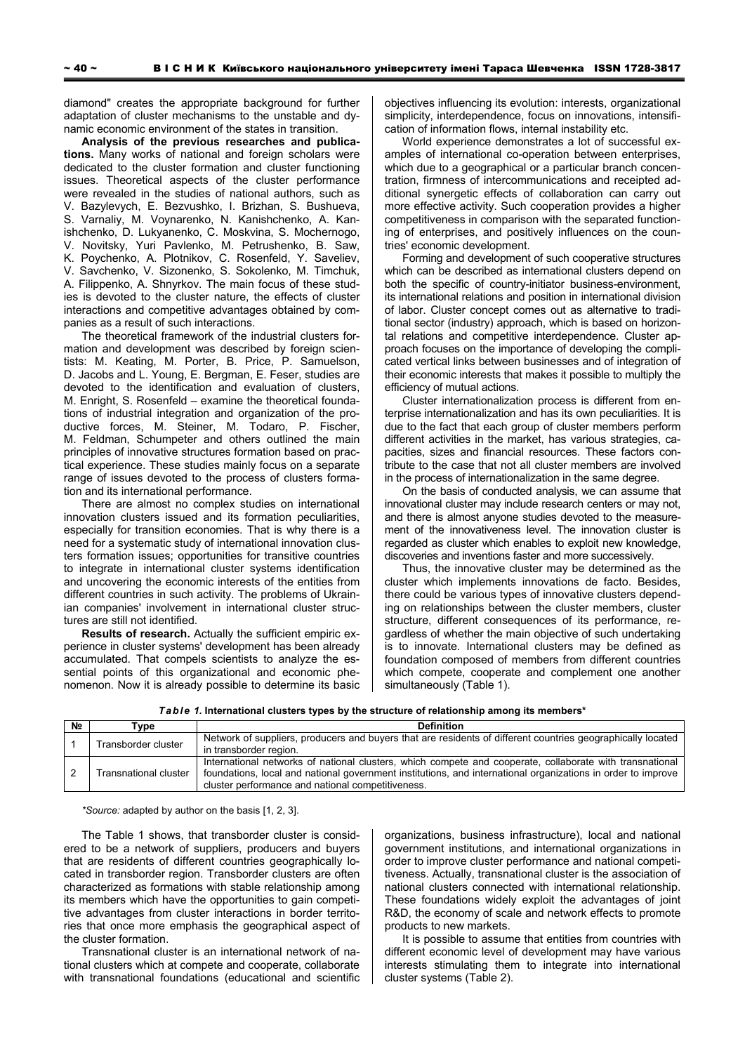diamond" creates the appropriate background for further adaptation of cluster mechanisms to the unstable and dynamic economic environment of the states in transition.

**Analysis of the previous researches and publications.** Many works of national and foreign scholars were dedicated to the cluster formation and cluster functioning issues. Theoretical aspects of the cluster performance were revealed in the studies of national authors, such as V. Bazylevych, E. Bezvushko, I. Brizhan, S. Bushueva, S. Varnaliy, M. Voynarenko, N. Kanishchenko, A. Kanishchenko, D. Lukyanenko, C. Moskvina, S. Mochernogo, V. Novitsky, Yuri Pavlenko, M. Petrushenko, B. Saw, K. Poychenko, A. Plotnikov, C. Rosenfeld, Y. Saveliev, V. Savchenko, V. Sizonenko, S. Sokolenko, M. Timchuk, A. Filippenko, A. Shnyrkov. The main focus of these studies is devoted to the cluster nature, the effects of cluster interactions and competitive advantages obtained by companies as a result of such interactions.

The theoretical framework of the industrial clusters formation and development was described by foreign scientists: M. Keating, M. Porter, B. Price, P. Samuelson, D. Jacobs and L. Young, E. Bergman, E. Feser, studies are devoted to the identification and evaluation of clusters, M. Enright, S. Rosenfeld – examine the theoretical foundations of industrial integration and organization of the productive forces, M. Steiner, M. Todaro, P. Fischer, M. Feldman, Schumpeter and others outlined the main principles of innovative structures formation based on practical experience. These studies mainly focus on a separate range of issues devoted to the process of clusters formation and its international performance.

There are almost no complex studies on international innovation clusters issued and its formation peculiarities, especially for transition economies. That is why there is a need for a systematic study of international innovation clusters formation issues; opportunities for transitive countries to integrate in international cluster systems identification and uncovering the economic interests of the entities from different countries in such activity. The problems of Ukrainian companies' involvement in international cluster structures are still not identified.

**Results of research.** Actually the sufficient empiric experience in cluster systems' development has been already accumulated. That compels scientists to analyze the essential points of this organizational and economic phenomenon. Now it is already possible to determine its basic objectives influencing its evolution: interests, organizational simplicity, interdependence, focus on innovations, intensification of information flows, internal instability etc.

World experience demonstrates a lot of successful examples of international co-operation between enterprises, which due to a geographical or a particular branch concentration, firmness of intercommunications and receipted additional synergetic effects of collaboration can carry out more effective activity. Such cooperation provides a higher competitiveness in comparison with the separated functioning of enterprises, and positively influences on the countries' economic development.

Forming and development of such cooperative structures which can be described as international clusters depend on both the specific of country-initiator business-environment, its international relations and position in international division of labor. Cluster concept comes out as alternative to traditional sector (industry) approach, which is based on horizontal relations and competitive interdependence. Cluster approach focuses on the importance of developing the complicated vertical links between businesses and of integration of their economic interests that makes it possible to multiply the efficiency of mutual actions.

Cluster internationalization process is different from enterprise internationalization and has its own peculiarities. It is due to the fact that each group of cluster members perform different activities in the market, has various strategies, capacities, sizes and financial resources. These factors contribute to the case that not all cluster members are involved in the process of internationalization in the same degree.

On the basis of conducted analysis, we can assume that innovational cluster may include research centers or may not, and there is almost anyone studies devoted to the measurement of the innovativeness level. The innovation cluster is regarded as cluster which enables to exploit new knowledge, discoveries and inventions faster and more successively.

Thus, the innovative cluster may be determined as the cluster which implements innovations de facto. Besides, there could be various types of innovative clusters depending on relationships between the cluster members, cluster structure, different consequences of its performance, regardless of whether the main objective of such undertaking is to innovate. International clusters may be defined as foundation composed of members from different countries which compete, cooperate and complement one another simultaneously (Table 1).

*Table 1.* **International clusters types by the structure of relationship among its members\*** 

| Nº | <b>Type</b>           | <b>Definition</b>                                                                                                                                                                                                                                                             |
|----|-----------------------|-------------------------------------------------------------------------------------------------------------------------------------------------------------------------------------------------------------------------------------------------------------------------------|
|    | Transborder cluster   | Network of suppliers, producers and buyers that are residents of different countries geographically located<br>in transborder region.                                                                                                                                         |
|    | Transnational cluster | International networks of national clusters, which compete and cooperate, collaborate with transnational<br>foundations, local and national government institutions, and international organizations in order to improve<br>cluster performance and national competitiveness. |

*\*Source:* adapted by author on the basis [1, 2, 3].

The Table 1 shows, that transborder cluster is considered to be a network of suppliers, producers and buyers that are residents of different countries geographically located in transborder region. Transborder clusters are often characterized as formations with stable relationship among its members which have the opportunities to gain competitive advantages from cluster interactions in border territories that once more emphasis the geographical aspect of the cluster formation.

Transnational cluster is an international network of national clusters which at compete and cooperate, collaborate with transnational foundations (educational and scientific

organizations, business infrastructure), local and national government institutions, and international organizations in order to improve cluster performance and national competitiveness. Actually, transnational cluster is the association of national clusters connected with international relationship. These foundations widely exploit the advantages of joint R&D, the economy of scale and network effects to promote products to new markets.

It is possible to assume that entities from countries with different economic level of development may have various interests stimulating them to integrate into international cluster systems (Table 2).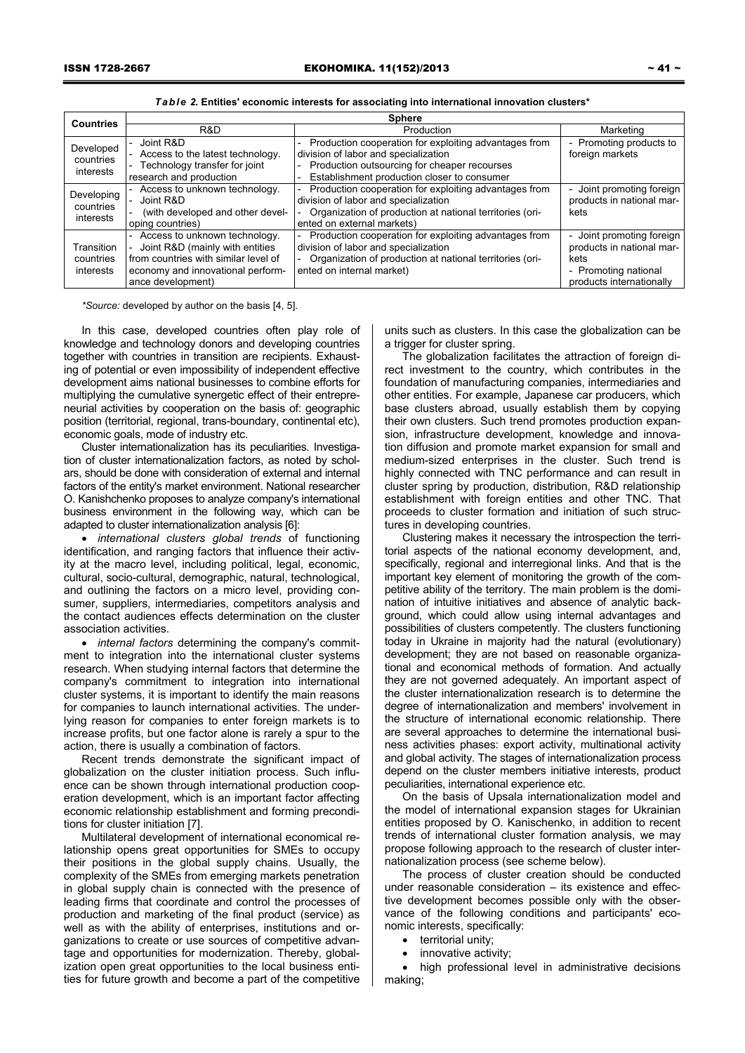| <b>Countries</b>                     | <b>Sphere</b>                                                                                                                                                        |                                                                                                                                                                                              |                                                                                                                    |  |  |
|--------------------------------------|----------------------------------------------------------------------------------------------------------------------------------------------------------------------|----------------------------------------------------------------------------------------------------------------------------------------------------------------------------------------------|--------------------------------------------------------------------------------------------------------------------|--|--|
|                                      | R&D                                                                                                                                                                  | Production                                                                                                                                                                                   | Marketing                                                                                                          |  |  |
| Developed<br>countries<br>interests  | Joint R&D<br>Access to the latest technology.<br>Technology transfer for joint<br>research and production                                                            | Production cooperation for exploiting advantages from<br>division of labor and specialization<br>Production outsourcing for cheaper recourses<br>Establishment production closer to consumer | - Promoting products to<br>foreign markets                                                                         |  |  |
| Developing<br>countries<br>interests | Access to unknown technology.<br>Joint R&D<br>(with developed and other devel-<br>oping countries)                                                                   | Production cooperation for exploiting advantages from<br>division of labor and specialization<br>Organization of production at national territories (ori-<br>ented on external markets)      | - Joint promoting foreign<br>products in national mar-<br>kets                                                     |  |  |
| Transition<br>countries<br>interests | - Access to unknown technology.<br>Joint R&D (mainly with entities<br>from countries with similar level of<br>economy and innovational perform-<br>ance development) | Production cooperation for exploiting advantages from<br>division of labor and specialization<br>Organization of production at national territories (ori-<br>ented on internal market)       | - Joint promoting foreign<br>products in national mar-<br>kets<br>- Promoting national<br>products internationally |  |  |

*Table 2.* **Entities' economic interests for associating into international innovation clusters\***

*\*Source:* developed by author on the basis [4, 5].

In this case, developed countries often play role of knowledge and technology donors and developing countries together with countries in transition are recipients. Exhausting of potential or even impossibility of independent effective development aims national businesses to combine efforts for multiplying the cumulative synergetic effect of their entrepreneurial activities by cooperation on the basis of: geographic position (territorial, regional, trans-boundary, continental etc), economic goals, mode of industry etc.

Cluster internationalization has its peculiarities. Investigation of cluster internationalization factors, as noted by scholars, should be done with consideration of external and internal factors of the entity's market environment. National researcher O. Kanishchenko proposes to analyze company's international business environment in the following way, which can be adapted to cluster internationalization analysis [6]:

*international clusters global trends* of functioning identification, and ranging factors that influence their activity at the macro level, including political, legal, economic, cultural, socio-cultural, demographic, natural, technological, and outlining the factors on a micro level, providing consumer, suppliers, intermediaries, competitors analysis and the contact audiences effects determination on the cluster association activities.

• *internal factors* determining the company's commitment to integration into the international cluster systems research. When studying internal factors that determine the company's commitment to integration into international cluster systems, it is important to identify the main reasons for companies to launch international activities. The underlying reason for companies to enter foreign markets is to increase profits, but one factor alone is rarely a spur to the action, there is usually a combination of factors.

Recent trends demonstrate the significant impact of globalization on the cluster initiation process. Such influence can be shown through international production cooperation development, which is an important factor affecting economic relationship establishment and forming preconditions for cluster initiation [7].

Multilateral development of international economical relationship opens great opportunities for SMEs to occupy their positions in the global supply chains. Usually, the complexity of the SMEs from emerging markets penetration in global supply chain is connected with the presence of leading firms that coordinate and control the processes of production and marketing of the final product (service) as well as with the ability of enterprises, institutions and organizations to create or use sources of competitive advantage and opportunities for modernization. Thereby, globalization open great opportunities to the local business entities for future growth and become a part of the competitive

units such as clusters. In this case the globalization can be a trigger for cluster spring.

The globalization facilitates the attraction of foreign direct investment to the country, which contributes in the foundation of manufacturing companies, intermediaries and other entities. For example, Japanese car producers, which base clusters abroad, usually establish them by copying their own clusters. Such trend promotes production expansion, infrastructure development, knowledge and innovation diffusion and promote market expansion for small and medium-sized enterprises in the cluster. Such trend is highly connected with TNC performance and can result in cluster spring by production, distribution, R&D relationship establishment with foreign entities and other TNC. That proceeds to cluster formation and initiation of such structures in developing countries.

Clustering makes it necessary the introspection the territorial aspects of the national economy development, and, specifically, regional and interregional links. And that is the important key element of monitoring the growth of the competitive ability of the territory. The main problem is the domination of intuitive initiatives and absence of analytic background, which could allow using internal advantages and possibilities of clusters competently. The clusters functioning today in Ukraine in majority had the natural (evolutionary) development; they are not based on reasonable organizational and economical methods of formation. And actually they are not governed adequately. An important aspect of the cluster internationalization research is to determine the degree of internationalization and members' involvement in the structure of international economic relationship. There are several approaches to determine the international business activities phases: export activity, multinational activity and global activity. The stages of internationalization process depend on the cluster members initiative interests, product peculiarities, international experience etc.

On the basis of Upsala internationalization model and the model of international expansion stages for Ukrainian entities proposed by O. Kanischenko, in addition to recent trends of international cluster formation analysis, we may propose following approach to the research of cluster internationalization process (see scheme below).

The process of cluster creation should be conducted under reasonable consideration – its existence and effective development becomes possible only with the observance of the following conditions and participants' economic interests, specifically:

- territorial unity;
- $\bullet$  innovative activity;

• high professional level in administrative decisions making;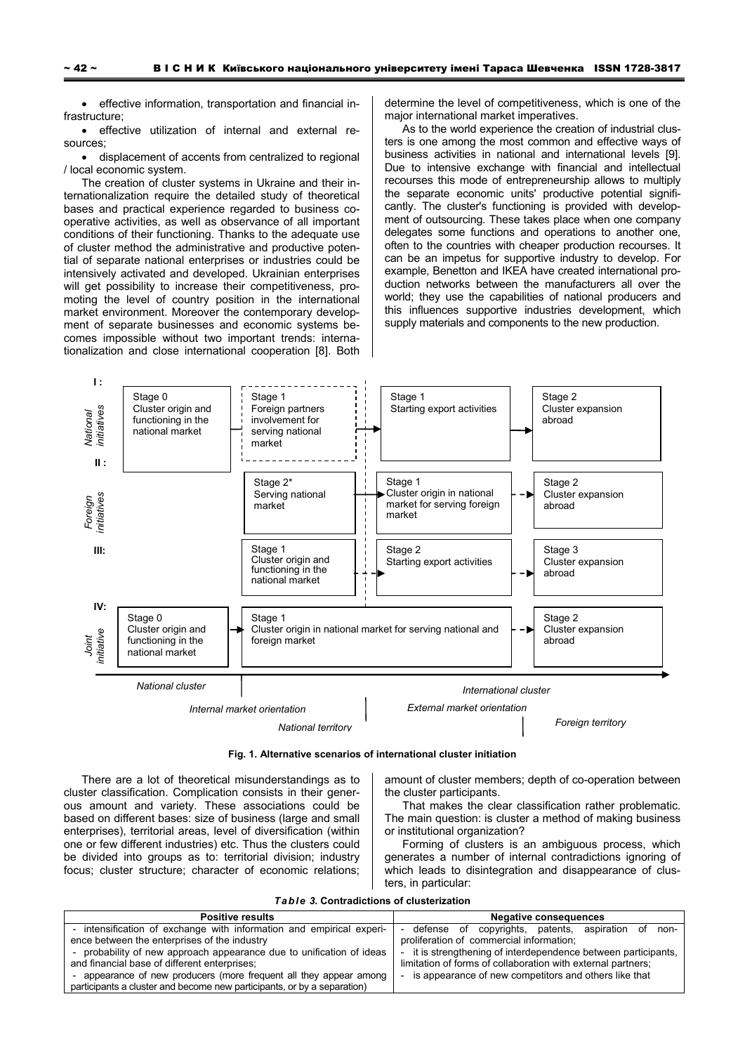• effective information, transportation and financial infrastructure;

• effective utilization of internal and external resources;

• displacement of accents from centralized to regional / local economic system.

The creation of cluster systems in Ukraine and their internationalization require the detailed study of theoretical bases and practical experience regarded to business cooperative activities, as well as observance of all important conditions of their functioning. Thanks to the adequate use of cluster method the administrative and productive potential of separate national enterprises or industries could be intensively activated and developed. Ukrainian enterprises will get possibility to increase their competitiveness, promoting the level of country position in the international market environment. Moreover the contemporary development of separate businesses and economic systems becomes impossible without two important trends: internationalization and close international cooperation [8]. Both determine the level of competitiveness, which is one of the major international market imperatives.

As to the world experience the creation of industrial clusters is one among the most common and effective ways of business activities in national and international levels [9]. Due to intensive exchange with financial and intellectual recourses this mode of entrepreneurship allows to multiply the separate economic units' productive potential significantly. The cluster's functioning is provided with development of outsourcing. These takes place when one company delegates some functions and operations to another one, often to the countries with cheaper production recourses. It can be an impetus for supportive industry to develop. For example, Benetton and IKEA have created international production networks between the manufacturers all over the world; they use the capabilities of national producers and this influences supportive industries development, which supply materials and components to the new production.



**Fig. 1. Alternative scenarios of international cluster initiation** 

There are a lot of theoretical misunderstandings as to cluster classification. Complication consists in their generous amount and variety. These associations could be based on different bases: size of business (large and small enterprises), territorial areas, level of diversification (within one or few different industries) etc. Thus the clusters could be divided into groups as to: territorial division; industry focus; cluster structure; character of economic relations;

amount of cluster members; depth of co-operation between the cluster participants.

That makes the clear classification rather problematic. The main question: is cluster a method of making business or institutional organization?

Forming of clusters is an ambiguous process, which generates a number of internal contradictions ignoring of which leads to disintegration and disappearance of clusters, in particular:

| Table 3. Contradictions of clusterization |  |
|-------------------------------------------|--|
|-------------------------------------------|--|

| <b>Positive results</b>                                                                      | <b>Negative consequences</b>                                   |  |  |  |
|----------------------------------------------------------------------------------------------|----------------------------------------------------------------|--|--|--|
| intensification of exchange with information and empirical experi-                           | - defense of copyrights, patents, aspiration<br>of non-        |  |  |  |
| ence between the enterprises of the industry                                                 | proliferation of commercial information;                       |  |  |  |
| probability of new approach appearance due to unification of ideas                           | - it is strengthening of interdependence between participants, |  |  |  |
| and financial base of different enterprises;                                                 | limitation of forms of collaboration with external partners;   |  |  |  |
| appearance of new producers (more frequent all they appear among<br>$\overline{\phantom{0}}$ | - is appearance of new competitors and others like that        |  |  |  |
| participants a cluster and become new participants, or by a separation)                      |                                                                |  |  |  |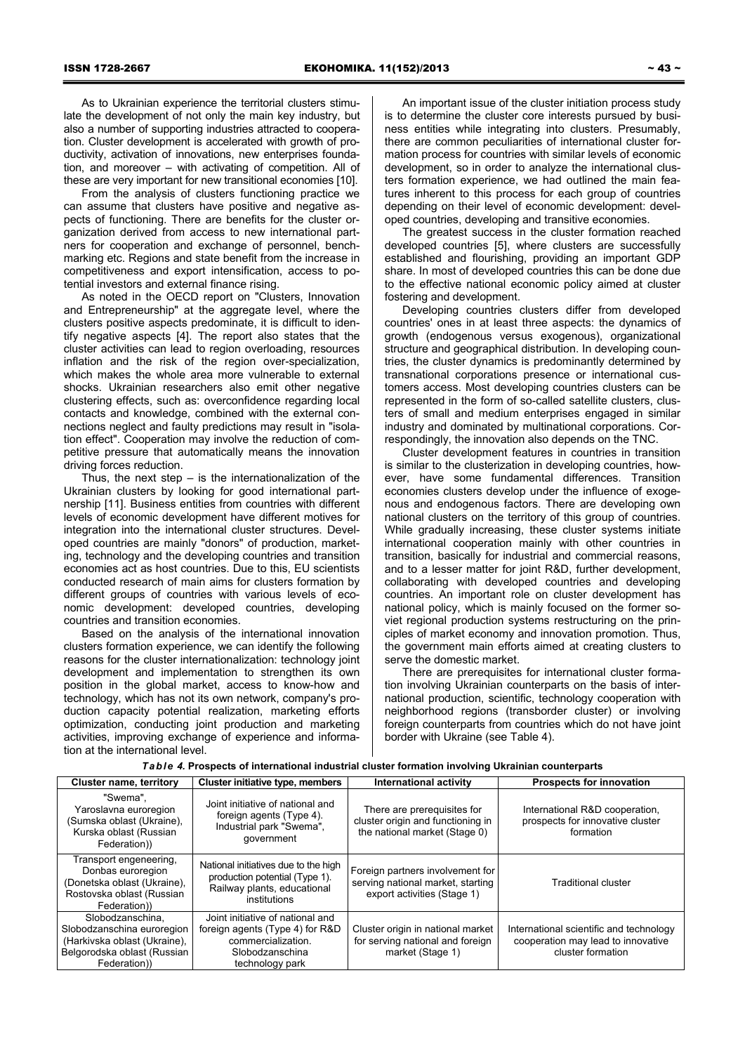As to Ukrainian experience the territorial clusters stimulate the development of not only the main key industry, but also a number of supporting industries attracted to cooperation. Cluster development is accelerated with growth of productivity, activation of innovations, new enterprises foundation, and moreover – with activating of competition. All of these are very important for new transitional economies [10].

From the analysis of clusters functioning practice we can assume that clusters have positive and negative aspects of functioning. There are benefits for the cluster organization derived from access to new international partners for cooperation and exchange of personnel, benchmarking etc. Regions and state benefit from the increase in competitiveness and export intensification, access to potential investors and external finance rising.

As noted in the OECD report on "Clusters, Innovation and Entrepreneurship" at the aggregate level, where the clusters positive aspects predominate, it is difficult to identify negative aspects [4]. The report also states that the cluster activities can lead to region overloading, resources inflation and the risk of the region over-specialization, which makes the whole area more vulnerable to external shocks. Ukrainian researchers also emit other negative clustering effects, such as: overconfidence regarding local contacts and knowledge, combined with the external connections neglect and faulty predictions may result in "isolation effect". Cooperation may involve the reduction of competitive pressure that automatically means the innovation driving forces reduction.

Thus, the next step  $-$  is the internationalization of the Ukrainian clusters by looking for good international partnership [11]. Business entities from countries with different levels of economic development have different motives for integration into the international cluster structures. Developed countries are mainly "donors" of production, marketing, technology and the developing countries and transition economies act as host countries. Due to this, EU scientists conducted research of main aims for clusters formation by different groups of countries with various levels of economic development: developed countries, developing countries and transition economies.

Based on the analysis of the international innovation clusters formation experience, we can identify the following reasons for the cluster internationalization: technology joint development and implementation to strengthen its own position in the global market, access to know-how and technology, which has not its own network, company's production capacity potential realization, marketing efforts optimization, conducting joint production and marketing activities, improving exchange of experience and information at the international level.

An important issue of the cluster initiation process study is to determine the cluster core interests pursued by business entities while integrating into clusters. Presumably, there are common peculiarities of international cluster formation process for countries with similar levels of economic development, so in order to analyze the international clusters formation experience, we had outlined the main features inherent to this process for each group of countries depending on their level of economic development: developed countries, developing and transitive economies.

The greatest success in the cluster formation reached developed countries [5], where clusters are successfully established and flourishing, providing an important GDP share. In most of developed countries this can be done due to the effective national economic policy aimed at cluster fostering and development.

Developing countries clusters differ from developed countries' ones in at least three aspects: the dynamics of growth (endogenous versus exogenous), organizational structure and geographical distribution. In developing countries, the cluster dynamics is predominantly determined by transnational corporations presence or international customers access. Most developing countries clusters can be represented in the form of so-called satellite clusters, clusters of small and medium enterprises engaged in similar industry and dominated by multinational corporations. Correspondingly, the innovation also depends on the TNC.

Cluster development features in countries in transition is similar to the clusterization in developing countries, however, have some fundamental differences. Transition economies clusters develop under the influence of exogenous and endogenous factors. There are developing own national clusters on the territory of this group of countries. While gradually increasing, these cluster systems initiate international cooperation mainly with other countries in transition, basically for industrial and commercial reasons, and to a lesser matter for joint R&D, further development, collaborating with developed countries and developing countries. An important role on cluster development has national policy, which is mainly focused on the former soviet regional production systems restructuring on the principles of market economy and innovation promotion. Thus, the government main efforts aimed at creating clusters to serve the domestic market.

There are prerequisites for international cluster formation involving Ukrainian counterparts on the basis of international production, scientific, technology cooperation with neighborhood regions (transborder cluster) or involving foreign counterparts from countries which do not have joint border with Ukraine (see Table 4).

| <b>Cluster name, territory</b>                                                                                                | Cluster initiative type, members                                                                                                | <b>International activity</b>                                                                        | <b>Prospects for innovation</b>                                                                    |
|-------------------------------------------------------------------------------------------------------------------------------|---------------------------------------------------------------------------------------------------------------------------------|------------------------------------------------------------------------------------------------------|----------------------------------------------------------------------------------------------------|
| "Swema".<br>Yaroslavna euroregion<br>(Sumska oblast (Ukraine),<br>Kurska oblast (Russian<br>Federation))                      | Joint initiative of national and<br>foreign agents (Type 4).<br>Industrial park "Swema",<br>qovernment                          | There are prerequisites for<br>cluster origin and functioning in<br>the national market (Stage 0)    | International R&D cooperation,<br>prospects for innovative cluster<br>formation                    |
| Transport engeneering,<br>Donbas euroregion<br>(Donetska oblast (Ukraine),<br>Rostovska oblast (Russian<br>Federation))       | National initiatives due to the high<br>production potential (Type 1).<br>Railway plants, educational<br>institutions           | Foreign partners involvement for<br>serving national market, starting<br>export activities (Stage 1) | <b>Traditional cluster</b>                                                                         |
| Slobodzanschina.<br>Slobodzanschina euroregion<br>(Harkivska oblast (Ukraine),<br>Belgorodska oblast (Russian<br>Federation)) | Joint initiative of national and<br>foreign agents (Type 4) for R&D<br>commercialization.<br>Slobodzanschina<br>technology park | Cluster origin in national market<br>for serving national and foreign<br>market (Stage 1)            | International scientific and technology<br>cooperation may lead to innovative<br>cluster formation |

*Table 4.* **Prospects of international industrial cluster formation involving Ukrainian counterparts**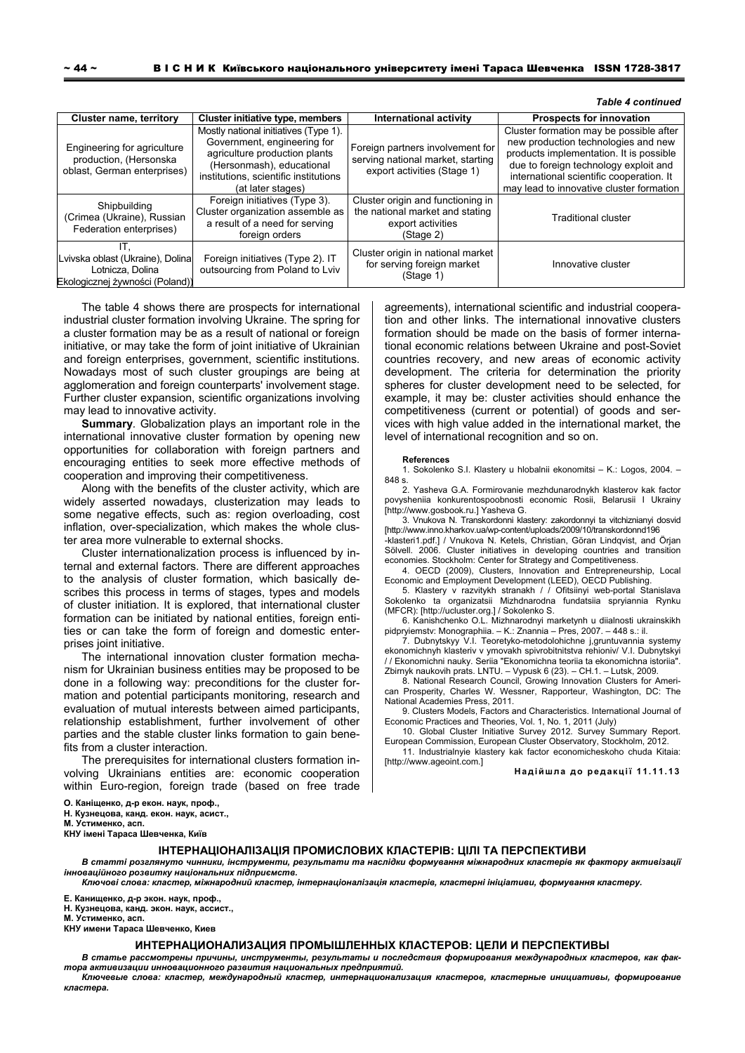agreements), international scientific and industrial cooperation and other links. The international innovative clusters formation should be made on the basis of former international economic relations between Ukraine and post-Soviet countries recovery, and new areas of economic activity development. The criteria for determination the priority spheres for cluster development need to be selected, for example, it may be: cluster activities should enhance the competitiveness (current or potential) of goods and services with high value added in the international market, the

1. Sokolenko S.I. Klastery u hlobalnii ekonomitsi – K.: Logos, 2004. –

2. Yasheva G.A. Formirovanie mezhdunarodnykh klasterov kak factor povysheniia konkurentospoobnosti economic Rosii, Belarusii I Ukrainy

3. Vnukova N. Transkordonni klastery: zakordonnyi ta vitchiznianyi dosvid [http://www.inno.kharkov.ua/wp-content/uploads/2009/10/transkordonnd196 -klasteri1.pdf.] / Vnukova N. Ketels, Christian, Göran Lindqvist, and Örjan Sölvell. 2006. Cluster initiatives in developing countries and transition economies. Stockholm: Center for Strategy and Competitiveness.

4. OECD (2009), Clusters, Innovation and Entrepreneurship, Local

5. Klastery v razvitykh stranakh / / Ofitsiinyi web-portal Stanislava Sokolenko ta organizatsii Mizhdnarodna fundatsiia spryiannia Rynku

6. Kanishchenko O.L. Mizhnarodnyi marketynh u diialnosti ukrainskikh

7. Dubnytskyy V.I. Teoretyko-metodolohichne j,gruntuvannia systemy ekonomichnyh klasteriv v ymovakh spivrobitnitstva rehioniv/ V.I. Dubnytskyi / / Ekonomichni nauky. Seriia "Ekonomichna teoriia ta ekonomichna istoriia". Zbirnyk naukovih prats. LNTU. – Vypusk 6 (23). – CH.1. – Lutsk, 2009. 8. National Research Council, Growing Innovation Clusters for American Prosperity, Charles W. Wessner, Rapporteur, Washington, DC: The

9. Clusters Models, Factors and Characteristics. International Journal of

10. Global Cluster Initiative Survey 2012. Survey Summary Report. European Commission, European Cluster Observatory, Stockholm, 2012. 11. Industrialnyie klastery kak factor economicheskoho chuda Kitaia:

Надійшла до редакції 11.11.13

Economic and Employment Development (LEED), OECD Publishing.

pidpryiemstv: Monographiia. - K.: Znannia - Pres, 2007. - 448 s.: il.

Economic Practices and Theories, Vol. 1, No. 1, 2011 (July)

level of international recognition and so on.

**References** 

[http://www.gosbook.ru.] Yasheva G.

(MFCR): [http://ucluster.org.] / Sokolenko S.

National Academies Press, 2011.

[http://www.ageoint.com.]

848 s.

|                                                                                                |                                                                                                                                                                                                  |                                                                                                        | <b>Table 4 continued</b>                                                                                                                                                                                                                                   |
|------------------------------------------------------------------------------------------------|--------------------------------------------------------------------------------------------------------------------------------------------------------------------------------------------------|--------------------------------------------------------------------------------------------------------|------------------------------------------------------------------------------------------------------------------------------------------------------------------------------------------------------------------------------------------------------------|
| Cluster name, territory                                                                        | Cluster initiative type, members                                                                                                                                                                 | International activity                                                                                 | <b>Prospects for innovation</b>                                                                                                                                                                                                                            |
| Engineering for agriculture<br>production, (Hersonska<br>oblast, German enterprises)           | Mostly national initiatives (Type 1).<br>Government, engineering for<br>agriculture production plants<br>(Hersonmash), educational<br>institutions, scientific institutions<br>(at later stages) | Foreign partners involvement for<br>serving national market, starting<br>export activities (Stage 1)   | Cluster formation may be possible after<br>new production technologies and new<br>products implementation. It is possible<br>due to foreign technology exploit and<br>international scientific cooperation. It<br>may lead to innovative cluster formation |
| Shipbuilding<br>(Crimea (Ukraine), Russian<br>Federation enterprises)                          | Foreign initiatives (Type 3).<br>Cluster organization assemble as<br>a result of a need for serving<br>foreign orders                                                                            | Cluster origin and functioning in<br>the national market and stating<br>export activities<br>(Stage 2) | Traditional cluster                                                                                                                                                                                                                                        |
| IT.<br>Lvivska oblast (Ukraine), Dolina<br>Lotnicza, Dolina<br>Ekologicznej żywności (Poland)) | Foreign initiatives (Type 2). IT<br>outsourcing from Poland to Lviv                                                                                                                              | Cluster origin in national market<br>for serving foreign market<br>(Stage 1)                           | Innovative cluster                                                                                                                                                                                                                                         |

The table 4 shows there are prospects for international industrial cluster formation involving Ukraine. The spring for a cluster formation may be as a result of national or foreign initiative, or may take the form of joint initiative of Ukrainian and foreign enterprises, government, scientific institutions. Nowadays most of such cluster groupings are being at agglomeration and foreign counterparts' involvement stage. Further cluster expansion, scientific organizations involving may lead to innovative activity.

**Summary***.* Globalization plays an important role in the international innovative cluster formation by opening new opportunities for collaboration with foreign partners and encouraging entities to seek more effective methods of cooperation and improving their competitiveness.

Along with the benefits of the cluster activity, which are widely asserted nowadays, clusterization may leads to some negative effects, such as: region overloading, cost inflation, over-specialization, which makes the whole cluster area more vulnerable to external shocks.

Cluster internationalization process is influenced by internal and external factors. There are different approaches to the analysis of cluster formation, which basically describes this process in terms of stages, types and models of cluster initiation. It is explored, that international cluster formation can be initiated by national entities, foreign entities or can take the form of foreign and domestic enterprises joint initiative.

The international innovation cluster formation mechanism for Ukrainian business entities may be proposed to be done in a following way: preconditions for the cluster formation and potential participants monitoring, research and evaluation of mutual interests between aimed participants, relationship establishment, further involvement of other parties and the stable cluster links formation to gain benefits from a cluster interaction.

The prerequisites for international clusters formation involving Ukrainians entities are: economic cooperation within Euro-region, foreign trade (based on free trade

 $O$ . Канішенко, д-р екон, наук, проф.,

Н. Кузнецова, канд. екон. наук, асист.,

 $M.$  Устименко, асп

КНУ імені Тараса Шевченка, Київ

# **ЛИТЕРНАЦІОНАЛІЗАЦІЯ ПРОМИСЛОВИХ КЛАСТЕРІВ: ЦІЛІ ТА ПЕРСПЕКТИВИ**

В статті розглянуто чинники, інструменти, результати та наслідки формування міжнародних кластерів як фактору активізації  $i$ нноваційного розвитку національних підприємств.

Ключові слова: кластер, міжнародний кластер, інтернаціоналізація кластерів, кластерні ініціативи, формування кластеру.

 $E.$  Канищенко, д-р экон. наук, проф.,

**Н. Кузнецова, канд. экон. наук, ассист.,** 

 $M.$  Устименко, асп

КНУ имени Тараса Шевченко, Киев

**ɂɇɌȿɊɇȺɐɂɈɇȺɅɂɁȺɐɂə ɉɊɈɆɕɒɅȿɇɇɕɏ ɄɅȺɋɌȿɊɈȼ: ɐȿɅɂ ɂ ɉȿɊɋɉȿɄɌɂȼɕ**

В статье рассмотрены причины, инструменты, результаты и последствия формирования международных кластеров, как фак $m$ ора активизации инновационного развития национальных предприятий.

Ключевые слова: кластер, международный кластер, интернационализация кластеров, кластерные инициативы, формирование **кластера.**